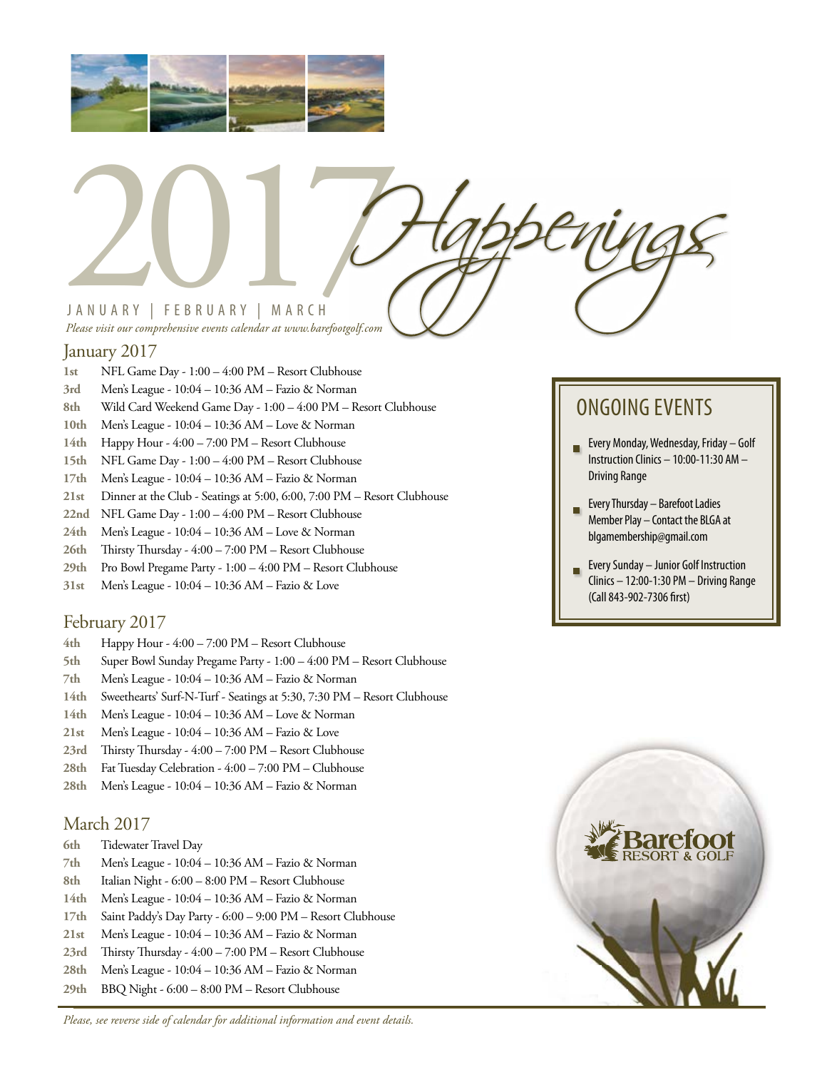

# JANUARY | FEBRUARY | MARCH JANUARY | FEBRUARY | MARCH<br>Please visit our comprehensive events calendar at uvww.barefootgolf.com

*Please visit our comprehensive events calendar at www.barefootgolf.com*

#### January 2017

- **1st** NFL Game Day 1:00 4:00 PM Resort Clubhouse
- **3rd** Men's League 10:04 10:36 AM Fazio & Norman
- **8th** Wild Card Weekend Game Day 1:00 4:00 PM Resort Clubhouse
- **10th** Men's League 10:04 10:36 AM Love & Norman
- **14th** Happy Hour 4:00 7:00 PM Resort Clubhouse
- **15th** NFL Game Day 1:00 4:00 PM Resort Clubhouse
- **17th** Men's League 10:04 10:36 AM Fazio & Norman
- **21st** Dinner at the Club Seatings at 5:00, 6:00, 7:00 PM Resort Clubhouse
- **22nd** NFL Game Day 1:00 4:00 PM Resort Clubhouse
- **24th** Men's League 10:04 10:36 AM Love & Norman
- **26th** Thirsty Thursday 4:00 7:00 PM Resort Clubhouse
- **29th** Pro Bowl Pregame Party 1:00 4:00 PM Resort Clubhouse
- **31st** Men's League 10:04 10:36 AM Fazio & Love

#### February 2017

- **4th** Happy Hour 4:00 7:00 PM Resort Clubhouse
- **5th** Super Bowl Sunday Pregame Party 1:00 4:00 PM Resort Clubhouse
- **7th** Men's League 10:04 10:36 AM Fazio & Norman
- **14th** Sweethearts' Surf-N-Turf Seatings at 5:30, 7:30 PM Resort Clubhouse
- **14th** Men's League 10:04 10:36 AM Love & Norman
- **21st** Men's League 10:04 10:36 AM Fazio & Love
- **23rd** Thirsty Thursday 4:00 7:00 PM Resort Clubhouse
- **28th** Fat Tuesday Celebration 4:00 7:00 PM Clubhouse
- **28th** Men's League 10:04 10:36 AM Fazio & Norman

#### March 2017

- **6th** Tidewater Travel Day
- **7th** Men's League 10:04 10:36 AM Fazio & Norman
- **8th** Italian Night 6:00 8:00 PM Resort Clubhouse
- **14th** Men's League 10:04 10:36 AM Fazio & Norman
- **17th** Saint Paddy's Day Party 6:00 9:00 PM Resort Clubhouse
- **21st** Men's League 10:04 10:36 AM Fazio & Norman
- **23rd** Thirsty Thursday 4:00 7:00 PM Resort Clubhouse
- **28th** Men's League 10:04 10:36 AM Fazio & Norman
- **29th** BBQ Night 6:00 8:00 PM Resort Clubhouse

*Please, see reverse side of calendar for additional information and event details.*

### ONGOING EVENTS

- **Every Monday, Wednesday, Friday Golf** Instruction Clinics – 10:00-11:30 AM – Driving Range
- Every Thursday Barefoot Ladies Member Play – Contact the BLGA at blgamembership@gmail.com
- Every Sunday Junior Golf Instruction Ō. Clinics – 12:00-1:30 PM – Driving Range (Call 843-902-7306 first)